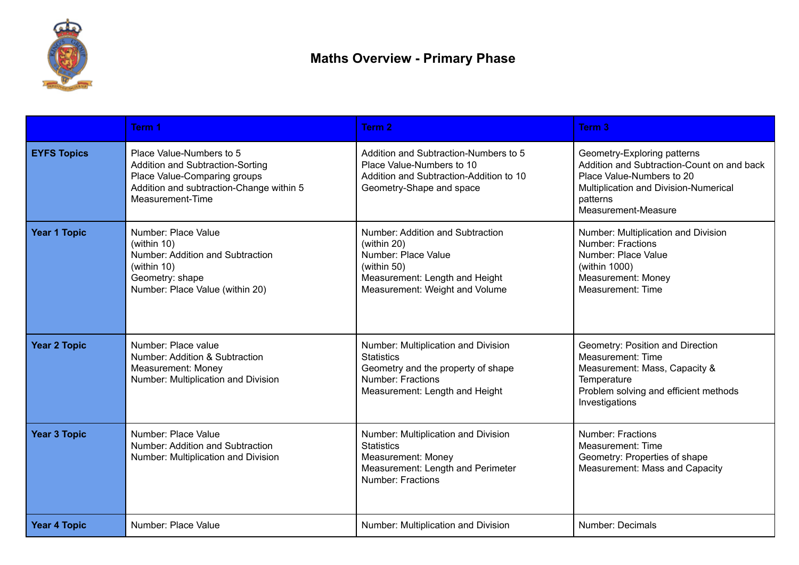

|                     | Term 1                                                                                                                                                       | Term 2                                                                                                                                                       | Term <sub>3</sub>                                                                                                                                                                  |
|---------------------|--------------------------------------------------------------------------------------------------------------------------------------------------------------|--------------------------------------------------------------------------------------------------------------------------------------------------------------|------------------------------------------------------------------------------------------------------------------------------------------------------------------------------------|
| <b>EYFS Topics</b>  | Place Value-Numbers to 5<br>Addition and Subtraction-Sorting<br>Place Value-Comparing groups<br>Addition and subtraction-Change within 5<br>Measurement-Time | Addition and Subtraction-Numbers to 5<br>Place Value-Numbers to 10<br>Addition and Subtraction-Addition to 10<br>Geometry-Shape and space                    | Geometry-Exploring patterns<br>Addition and Subtraction-Count on and back<br>Place Value-Numbers to 20<br>Multiplication and Division-Numerical<br>patterns<br>Measurement-Measure |
| <b>Year 1 Topic</b> | Number: Place Value<br>(within 10)<br>Number: Addition and Subtraction<br>(within 10)<br>Geometry: shape<br>Number: Place Value (within 20)                  | Number: Addition and Subtraction<br>(within 20)<br>Number: Place Value<br>(within $50$ )<br>Measurement: Length and Height<br>Measurement: Weight and Volume | Number: Multiplication and Division<br><b>Number: Fractions</b><br>Number: Place Value<br>(within 1000)<br>Measurement: Money<br><b>Measurement: Time</b>                          |
| <b>Year 2 Topic</b> | Number: Place value<br>Number: Addition & Subtraction<br>Measurement: Money<br>Number: Multiplication and Division                                           | Number: Multiplication and Division<br><b>Statistics</b><br>Geometry and the property of shape<br><b>Number: Fractions</b><br>Measurement: Length and Height | Geometry: Position and Direction<br>Measurement: Time<br>Measurement: Mass, Capacity &<br>Temperature<br>Problem solving and efficient methods<br>Investigations                   |
| <b>Year 3 Topic</b> | Number: Place Value<br>Number: Addition and Subtraction<br>Number: Multiplication and Division                                                               | Number: Multiplication and Division<br><b>Statistics</b><br>Measurement: Money<br>Measurement: Length and Perimeter<br><b>Number: Fractions</b>              | <b>Number: Fractions</b><br>Measurement: Time<br>Geometry: Properties of shape<br>Measurement: Mass and Capacity                                                                   |
| <b>Year 4 Topic</b> | Number: Place Value                                                                                                                                          | Number: Multiplication and Division                                                                                                                          | Number: Decimals                                                                                                                                                                   |